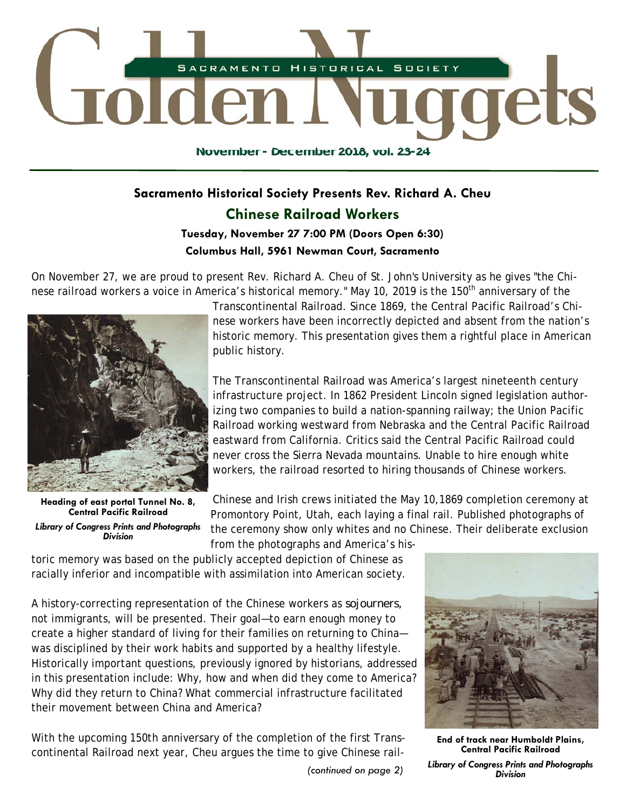

# **Sacramento Historical Society Presents Rev. Richard A. Cheu Chinese Railroad Workers**

# **Tuesday, November 27 7:00 PM (Doors Open 6:30) Columbus Hall, 5961 Newman Court, Sacramento**

On November 27, we are proud to present Rev. Richard A. Cheu of St. John's University as he gives "the Chinese railroad workers a voice in America's historical memory." May 10, 2019 is the 150<sup>th</sup> anniversary of the



**Heading of east portal Tunnel No. 8, Central Pacific Railroad** 

*Library of Congress Prints and Photographs Division* 

Transcontinental Railroad. Since 1869, the Central Pacific Railroad's Chinese workers have been incorrectly depicted and absent from the nation's historic memory. This presentation gives them a rightful place in American public history.

The Transcontinental Railroad was America's largest nineteenth century infrastructure project. In 1862 President Lincoln signed legislation authorizing two companies to build a nation-spanning railway; the Union Pacific Railroad working westward from Nebraska and the Central Pacific Railroad eastward from California. Critics said the Central Pacific Railroad could never cross the Sierra Nevada mountains. Unable to hire enough white workers, the railroad resorted to hiring thousands of Chinese workers.

Chinese and Irish crews initiated the May 10,1869 completion ceremony at Promontory Point, Utah, each laying a final rail. Published photographs of the ceremony show only whites and no Chinese. Their deliberate exclusion from the photographs and America's his-

toric memory was based on the publicly accepted depiction of Chinese as racially inferior and incompatible with assimilation into American society.

A history-correcting representation of the Chinese workers as *sojourners,* not immigrants, will be presented. Their goal—to earn enough money to create a higher standard of living for their families on returning to China was disciplined by their work habits and supported by a healthy lifestyle. Historically important questions, previously ignored by historians, addressed in this presentation include: Why, how and when did they come to America? Why did they return to China? What commercial infrastructure facilitated their movement between China and America?

With the upcoming 150th anniversary of the completion of the first Transcontinental Railroad next year, Cheu argues the time to give Chinese rail-

*Division (continued on page 2)* 



**End of track near Humboldt Plains, Central Pacific Railroad** 

*Library of Congress Prints and Photographs*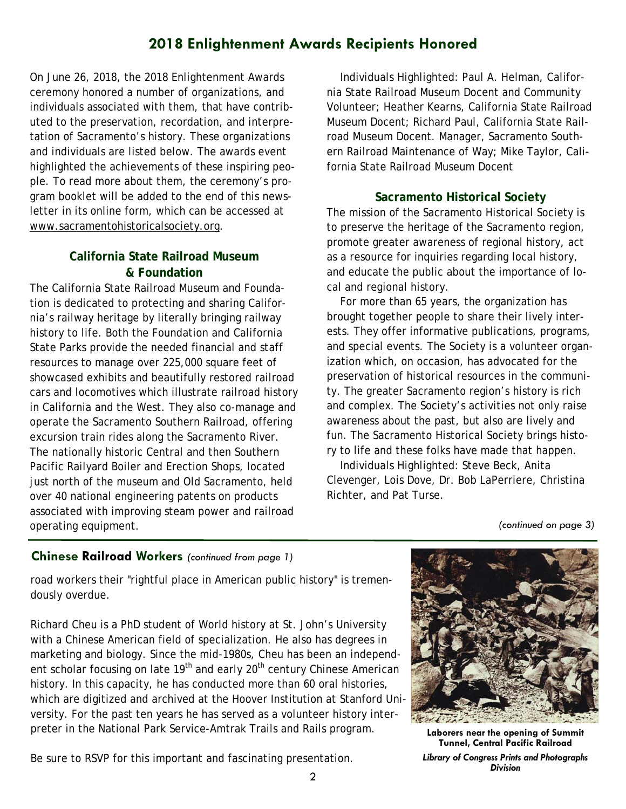# **2018 Enlightenment Awards Recipients Honored**

On June 26, 2018, the 2018 Enlightenment Awards ceremony honored a number of organizations, and individuals associated with them, that have contributed to the preservation, recordation, and interpretation of Sacramento's history. These organizations and individuals are listed below. The awards event highlighted the achievements of these inspiring people. To read more about them, the ceremony's program booklet will be added to the end of this newsletter in its online form, which can be accessed at www.sacramentohistoricalsociety.org.

# **California State Railroad Museum & Foundation**

The California State Railroad Museum and Foundation is dedicated to protecting and sharing California's railway heritage by literally bringing railway history to life. Both the Foundation and California State Parks provide the needed financial and staff resources to manage over 225,000 square feet of showcased exhibits and beautifully restored railroad cars and locomotives which illustrate railroad history in California and the West. They also co-manage and operate the Sacramento Southern Railroad, offering excursion train rides along the Sacramento River. The nationally historic Central and then Southern Pacific Railyard Boiler and Erection Shops, located just north of the museum and Old Sacramento, held over 40 national engineering patents on products associated with improving steam power and railroad operating equipment.

 Individuals Highlighted: Paul A. Helman, California State Railroad Museum Docent and Community Volunteer; Heather Kearns, California State Railroad Museum Docent; Richard Paul, California State Railroad Museum Docent. Manager, Sacramento Southern Railroad Maintenance of Way; Mike Taylor, California State Railroad Museum Docent

## **Sacramento Historical Society**

The mission of the Sacramento Historical Society is to preserve the heritage of the Sacramento region, promote greater awareness of regional history, act as a resource for inquiries regarding local history, and educate the public about the importance of local and regional history.

 For more than 65 years, the organization has brought together people to share their lively interests. They offer informative publications, programs, and special events. The Society is a volunteer organization which, on occasion, has advocated for the preservation of historical resources in the community. The greater Sacramento region's history is rich and complex. The Society's activities not only raise awareness about the past, but also are lively and fun. The Sacramento Historical Society brings history to life and these folks have made that happen.

 Individuals Highlighted: Steve Beck, Anita Clevenger, Lois Dove, Dr. Bob LaPerriere, Christina Richter, and Pat Turse.

*(continued on page 3)* 

## **Chinese Railroad Workers** *(continued from page 1)*

road workers their "rightful place in American public history" is tremendously overdue.

Richard Cheu is a PhD student of World history at St. John's University with a Chinese American field of specialization. He also has degrees in marketing and biology. Since the mid-1980s, Cheu has been an independent scholar focusing on late 19<sup>th</sup> and early 20<sup>th</sup> century Chinese American history. In this capacity, he has conducted more than 60 oral histories, which are digitized and archived at the Hoover Institution at Stanford University. For the past ten years he has served as a volunteer history interpreter in the National Park Service-Amtrak Trails and Rails program.

Be sure to RSVP for this important and fascinating presentation.



**Laborers near the opening of Summit Tunnel, Central Pacific Railroad** 

*Library of Congress Prints and Photographs Division*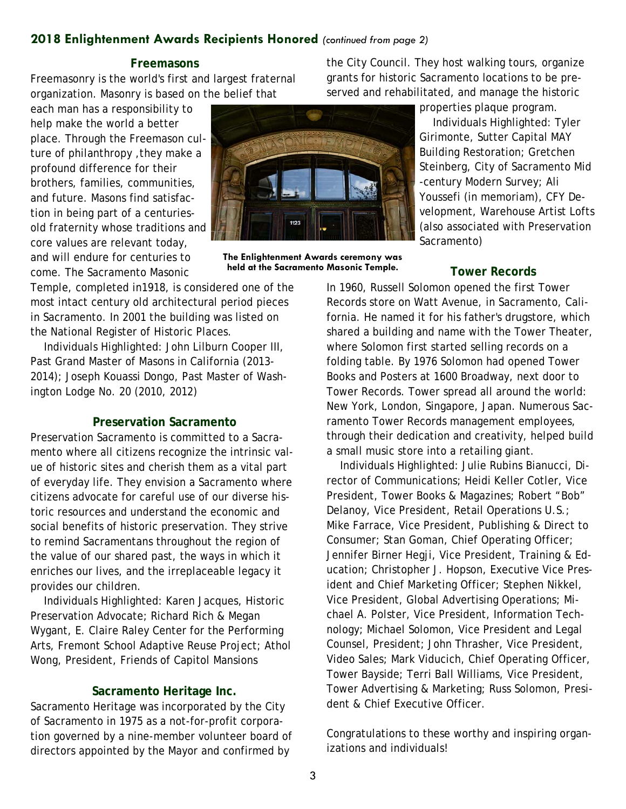# **2018 Enlightenment Awards Recipients Honored** *(continued from page 2)*

#### **Freemasons**

Freemasonry is the world's first and largest fraternal organization. Masonry is based on the belief that

each man has a responsibility to help make the world a better place. Through the Freemason culture of philanthropy ,they make a profound difference for their brothers, families, communities, and future. Masons find satisfaction in being part of a centuriesold fraternity whose traditions and core values are relevant today, and will endure for centuries to come. The Sacramento Masonic

Temple, completed in1918, is considered one of the most intact century old architectural period pieces in Sacramento. In 2001 the building was listed on the National Register of Historic Places.

 Individuals Highlighted: John Lilburn Cooper III, Past Grand Master of Masons in California (2013- 2014); Joseph Kouassi Dongo, Past Master of Washington Lodge No. 20 (2010, 2012)

## **Preservation Sacramento**

Preservation Sacramento is committed to a Sacramento where all citizens recognize the intrinsic value of historic sites and cherish them as a vital part of everyday life. They envision a Sacramento where citizens advocate for careful use of our diverse historic resources and understand the economic and social benefits of historic preservation. They strive to remind Sacramentans throughout the region of the value of our shared past, the ways in which it enriches our lives, and the irreplaceable legacy it provides our children.

 Individuals Highlighted: Karen Jacques, Historic Preservation Advocate; Richard Rich & Megan Wygant, E. Claire Raley Center for the Performing Arts, Fremont School Adaptive Reuse Project; Athol Wong, President, Friends of Capitol Mansions

#### **Sacramento Heritage Inc.**

Sacramento Heritage was incorporated by the City of Sacramento in 1975 as a not-for-profit corporation governed by a nine-member volunteer board of directors appointed by the Mayor and confirmed by



**The Enlightenment Awards ceremony was held at the Sacramento Masonic Temple.**

the City Council. They host walking tours, organize grants for historic Sacramento locations to be preserved and rehabilitated, and manage the historic

properties plaque program.

 Individuals Highlighted: Tyler Girimonte, Sutter Capital MAY Building Restoration; Gretchen Steinberg, City of Sacramento Mid -century Modern Survey; Ali Youssefi (in memoriam), CFY Development, Warehouse Artist Lofts (also associated with Preservation Sacramento)

### **Tower Records**

In 1960, Russell Solomon opened the first Tower Records store on Watt Avenue, in Sacramento, California. He named it for his father's drugstore, which shared a building and name with the Tower Theater, where Solomon first started selling records on a folding table. By 1976 Solomon had opened Tower Books and Posters at 1600 Broadway, next door to Tower Records. Tower spread all around the world: New York, London, Singapore, Japan. Numerous Sacramento Tower Records management employees, through their dedication and creativity, helped build a small music store into a retailing giant.

 Individuals Highlighted: Julie Rubins Bianucci, Director of Communications; Heidi Keller Cotler, Vice President, Tower Books & Magazines; Robert "Bob" Delanoy, Vice President, Retail Operations U.S.; Mike Farrace, Vice President, Publishing & Direct to Consumer; Stan Goman, Chief Operating Officer; Jennifer Birner Hegji, Vice President, Training & Education; Christopher J. Hopson, Executive Vice President and Chief Marketing Officer; Stephen Nikkel, Vice President, Global Advertising Operations; Michael A. Polster, Vice President, Information Technology; Michael Solomon, Vice President and Legal Counsel, President; John Thrasher, Vice President, Video Sales; Mark Viducich, Chief Operating Officer, Tower Bayside; Terri Ball Williams, Vice President, Tower Advertising & Marketing; Russ Solomon, President & Chief Executive Officer.

Congratulations to these worthy and inspiring organizations and individuals!